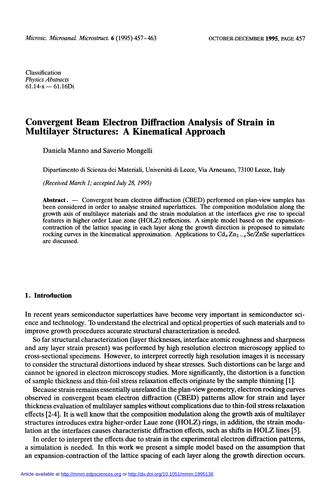Classification Physics Abstracts  $61.14-x - 61.16Di$ 

# Convergent Beam Electron Diffraction Analysis of Strain in Multilayer Structures: A Kinematical Approach

Daniela Manno and Saverio Mongelli

Dipartimento di Scienza dei Materiali, Università di Lecce, Via Arnesano, 73100 Lecce, Italy

(Received March 1; accepted July 28, 1995)

Abstract. - Convergent beam electron diffraction (CBED) performed on plan-view samples has been considered in order to analyse strained superlattices. The composition modulation along the growth axis of multilayer materials and the strain modulation at the interfaces give rise to special features in higher order Laue zone (HOLZ) reflections. A simple model based on the expansioncontraction of the lattice spacing in each layer along the growth direction is proposed to simulate rocking curves in the kinematical approximation. Applications to  $Cd_xZn_{1-x}\hat{S}e/\hat{Z}nSe$  superlattices are discussed.

## 1. Introduction

In recent years semiconductor superlattices have become very important in semiconductor science and technology. To understand the electrical and optical properties of such materials and to improve growth procedures accurate structural characterization is needed.

So far structural characterization (layer thicknesses, interface atomic roughness and sharpness and any layer strain present) was performed by high resolution electron microscopy applied to cross-sectional specimens. However, to interpret correctly high resolution images it is necessary to consider the structural distortions induced by shear stresses. Such distortions can be large and cannot be ignored in electron microscopy studies. More significantly, the distortion is a function of sample thickness and thin-foil stress relaxation effects originate by the sample thinning [1].

Because strain remains essentially unrelaxed in the plan-view geometry, electron rocking curves observed in convergent beam electron diffraction (CBED) patterns allow for strain and layer thickness evaluation of multilayer samples without complications due to thin-foil stress relaxation effects [2-4]. It is well know that the composition modulation along the growth axis of multilayer structures introduces extra higher-order Laue zone (HOLZ) rings, in addition, the strain modulation at the interfaces causes characteristic diffraction effects, such as shifts in HOLZ lines [5].

In order to interpret the effects due to strain in the experimental electron diffraction patterns, a simulation is needed. In this work we present a simple model based on the assumption that an expansion-contraction of the lattice spacing of each layer along the growth direction occurs.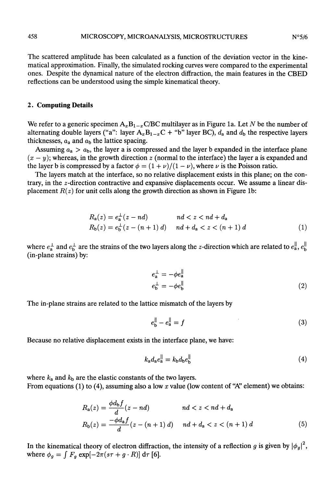The scattered amplitude has been calculated as a function of the deviation vector in the kine-<br>matical approximation. Finally, the simulated rocking curves were compared to the experimental ones. Despite the dynamical nature of the electron diffraction, the main features in the CBED reflections can be understood using the simple kinematical theory.

# 2. Computing Details

We refer to a generic specimen  $A_xB_{1-x}C/BC$  multilayer as in Figure 1a. Let N be the number of alternating double layers ("a": layer  $A_xB_{1-x}C$  + "b" layer BC),  $d_a$  and  $d_b$  the respective layers thicknesses,  $a_a$  and  $a_b$  the lattice spacing.

Assuming  $a_a > a_b$ , the layer a is compressed and the layer b expanded in the interface plane  $(x - y)$ ; whereas, in the growth direction z (normal to the interface) the layer a is expanded and the layer b is compressed by a factor  $\phi = (1+\nu)/(1-\nu)$ , where  $\nu$  is the Poisson ratio.

The layers match at the interface, so no relative displacement exists in this plane; on the contrary, in the  $z$ -direction contractive and expansive displacements occur. We assume a linear displacement  $R(z)$  for unit cells along the growth direction as shown in Figure 1b:

$$
R_{a}(z) = e_{a}^{\perp}(z - nd) \qquad nd < z < nd + d_{a}
$$
  
\n
$$
R_{b}(z) = e_{b}^{\perp}(z - (n+1) d) \qquad nd + d_{a} < z < (n+1) d
$$
 (1)

where  $e_a^{\perp}$  and  $e_b^{\perp}$  are the strains of the two layers along the z-direction which are related to  $e_a^{\parallel}$ ,  $e_b^{\parallel}$ (in-plane strains) by:

$$
e_{\mathbf{a}}^{\perp} = -\phi e_{\mathbf{a}}^{\parallel}
$$
  
\n
$$
e_{\mathbf{b}}^{\perp} = -\phi e_{\mathbf{b}}^{\parallel}
$$
\n(2)

The in-plane strains are related to the lattice mismatch of the layers by

$$
e_{\mathbf{h}}^{\parallel} - e_{\mathbf{a}}^{\parallel} = f \tag{3}
$$

Because no relative displacement exists in the interface plane, we have:

$$
k_{\mathbf{a}}d_{\mathbf{a}}e_{\mathbf{a}}^{\parallel} = k_{\mathbf{b}}d_{\mathbf{b}}e_{\mathbf{b}}^{\parallel} \tag{4}
$$

where  $k_a$  and  $k_b$  are the elastic constants of the two layers. From equations (1) to (4), assuming also a low x value (low content of "A" element) we obtains:

$$
R_{a}(z) = \frac{\phi d_{b}f}{d}(z - nd) \qquad nd < z < nd + d_{a}
$$
  
\n
$$
R_{b}(z) = \frac{-\phi d_{a}f}{d}(z - (n+1) d) \qquad nd + d_{a} < z < (n+1) d
$$
\n(5)

In the kinematical theory of electron diffraction, the intensity of a reflection g is given by  $|\phi_q|^2$ , where  $\phi_g = \int F_g \exp[-2\pi(s\tau + g \cdot R)] d\tau$  [6].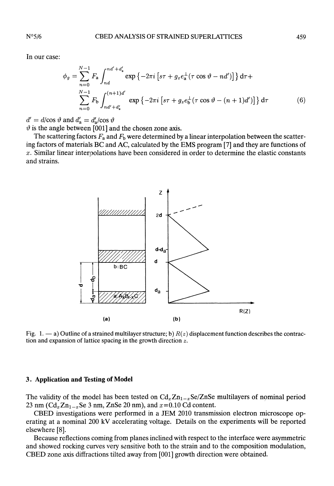In our case:

$$
\phi_g = \sum_{n=0}^{N-1} F_a \int_{nd}^{nd'+d'_a} \exp \{-2\pi i \left[ s\tau + g_z e_a^{\perp} (\tau \cos \vartheta - nd') \right] \} d\tau +
$$
  

$$
\sum_{n=0}^{N-1} F_b \int_{nd'+d'_a}^{(n+1)d'} \exp \{-2\pi i \left[ s\tau + g_z e_b^{\perp} (\tau \cos \vartheta - (n+1)d') \right] \} d\tau
$$
 (6)

 $d' = d/\cos \vartheta$  and  $d'_{a} = d'_{a}/\cos \vartheta$ <br> $\vartheta$  is the angle between [001] and the chosen zone axis.

The scattering factors  $F_a$  and  $F_b$  were determined by a linear interpolation between the scattering factors of materials BC and AC, calculated by the EMS program [7] and they are functions of  $x$ . Similar linear interpolations have been considered in order to determine the elastic constants and strains.



Fig. 1.  $-$  a) Outline of a strained multilayer structure; b)  $R(z)$  displacement function describes the contraction and expansion of lattice spacing in the growth direction z.

#### 3. Application and Testing of Model

The validity of the model has been tested on  $Cd_xZn_{1-x}Se/ZnSe$  multilayers of nominal period 23 nm ( $Cd_xZn_{1-x}$ Se 3 nm, ZnSe 20 nm), and  $x=0.10$  Cd content.

CBED investigations were performed in a JEM 2010 transmission electron microscope operating at a nominal 200 kV accelerating voltage. Details on the experiments will be reported elsewhere [8].

Because reflections coming from planes inclined with respect to the interface were asymmetric and showed rocking curves very sensitive both to the strain and to the composition modulation, CBED zone axis diffractions tilted away from [001] growth direction were obtained.

 $N^{\circ}5/6$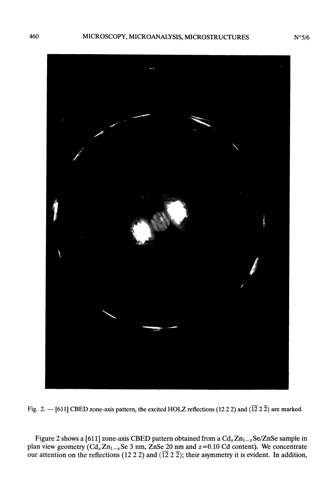

Fig. 2. - [611] CBED zone-axis pattern, the excited HOLZ reflections (12 2 2) and ( $\overline{12}$  2  $\overline{2}$ ) are marked.

Figure 2 shows a [611] zone-axis CBED pattern obtained from a  $Cd_xZn_{1-x}Se/ZnSe$  sample in plan view geometry  $(Cd_xZn_{1-x}$ Se 3 nm, ZnSe 20 nm and  $x=0.10$  Cd content). We concentrate our attention on the reflections (12 2 2) and ( $\overline{12}$  2  $\overline{2}$ ); their asymmetry it is evident. In addition,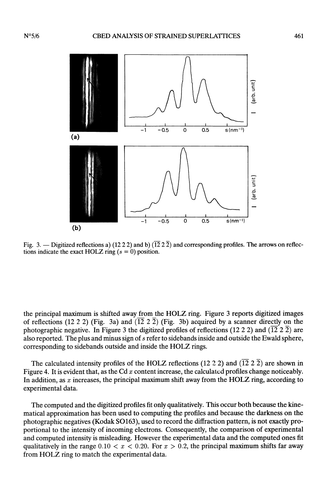

Fig. 3. — Digitized reflections a) (12 2 2) and b)  $(\overline{12} \ 2 \ \overline{2})$  and corresponding profiles. The arrows on reflections indicate the exact HOLZ ring  $(s = 0)$  position.

the principal maximum is shifted away from the HOLZ ring. Figure 3 reports digitized images of reflections (12 2 2) (Fig. 3a) and  $(\overline{12} \ 2 \ \overline{2})$  (Fig. 3b) acquired by a scanner directly on the photographic negative. In Figure 3 the digitized profiles of reflections (12 2 2) and ( $\overline{12}$  2) are also reported. The plus and minus sign of s refer to sidebands inside and outside the Ewald sphere, corresponding to sidebands outside and inside the HOLZ rings.

The calculated intensity profiles of the HOLZ reflections (12 2 2) and ( $\overline{12}$  2  $\overline{2}$ ) are shown in Figure 4. It is evident that, as the Cd  $x$  content increase, the calculated profiles change noticeably. In addition, as  $x$  increases, the principal maximum shift away from the HOLZ ring, according to experimental data.

The computed and the digitized profiles fit only qualitatively. This occur both because the kinematical approximation has been used to computing the profiles and because the darkness on the photographic negatives (Kodak S0163), used to record the diffraction pattern, is not exactly proportional to the intensity of incoming electrons. Consequently, the comparison of experimental and computed intensity is misleading. However the experimental data and the computed ones fit qualitatively in the range  $0.10 < x < 0.20$ . For  $x > 0.2$ , the principal maximum shifts far away from HOLZ ring to match the experimental data.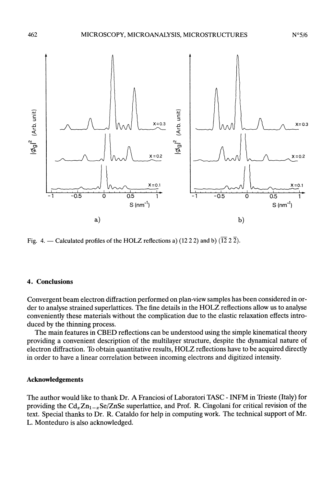

Fig. 4. — Calculated profiles of the HOLZ reflections a) (12 2 2) and b) ( $\overline{12}$  2  $\overline{2}$ ).

#### 4. Conclusions

Convergent beam electron diffraction performed on plan-view samples has been considered in order to analyse strained superlattices. The fine details in the HOLZ reflections allow us to analyse conveniently these materials without the complication due to the elastic relaxation effects introduced by the thinning process.

The main features in CBED reflections can be understood using the simple kinematical theory providing a convenient description of the multilayer structure, despite the dynamical nature of electron diffraction. To obtain quantitative results, HOLZ reflections have to be acquired directly in order to have a linear correlation between incoming electrons and digitized intensity.

## Acknowledgements

The author would like to thank Dr. A Franciosi of Laboratori TASC - INFM in Trieste (Italy) for providing the  $Cd_xZn_{1-x}Se/ZnSe$  superlattice, and Prof. R. Cingolani for critical revision of the text. Special thanks to Dr. R. Cataldo for help in computing work. The technical support of Mr. L. Monteduro is also acknowledged.

 $N^{\circ}5/6$